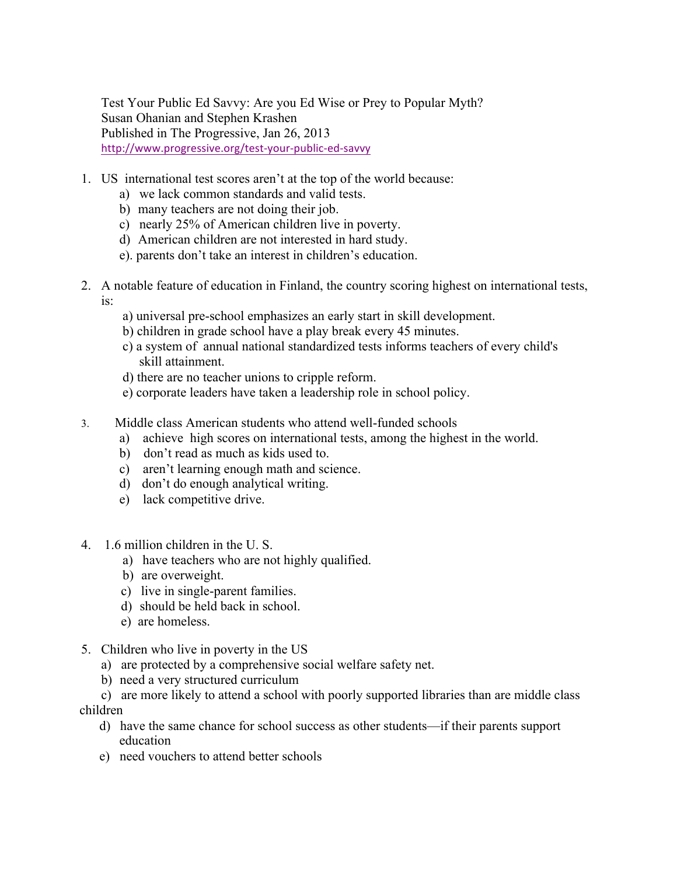Test Your Public Ed Savvy: Are you Ed Wise or Prey to Popular Myth? Susan Ohanian and Stephen Krashen Published in The Progressive, Jan 26, 2013 http://www.progressive.org/test-your-public-ed-savvy

- 1. US international test scores aren't at the top of the world because:
	- a) we lack common standards and valid tests.
	- b) many teachers are not doing their job.
	- c) nearly 25% of American children live in poverty.
	- d) American children are not interested in hard study.
	- e). parents don't take an interest in children's education.
- 2. A notable feature of education in Finland, the country scoring highest on international tests, is:
	- a) universal pre-school emphasizes an early start in skill development.
	- b) children in grade school have a play break every 45 minutes.
	- c) a system of annual national standardized tests informs teachers of every child's skill attainment.
	- d) there are no teacher unions to cripple reform.
	- e) corporate leaders have taken a leadership role in school policy.
- 3. Middle class American students who attend well-funded schools
	- a) achieve high scores on international tests, among the highest in the world.
	- b) don't read as much as kids used to.
	- c) aren't learning enough math and science.
	- d) don't do enough analytical writing.
	- e) lack competitive drive.
- 4. 1.6 million children in the U. S.
	- a) have teachers who are not highly qualified.
	- b) are overweight.
	- c) live in single-parent families.
	- d) should be held back in school.
	- e) are homeless.
- 5. Children who live in poverty in the US
	- a) are protected by a comprehensive social welfare safety net.
	- b) need a very structured curriculum
- c) are more likely to attend a school with poorly supported libraries than are middle class children
	- d) have the same chance for school success as other students—if their parents support education
	- e) need vouchers to attend better schools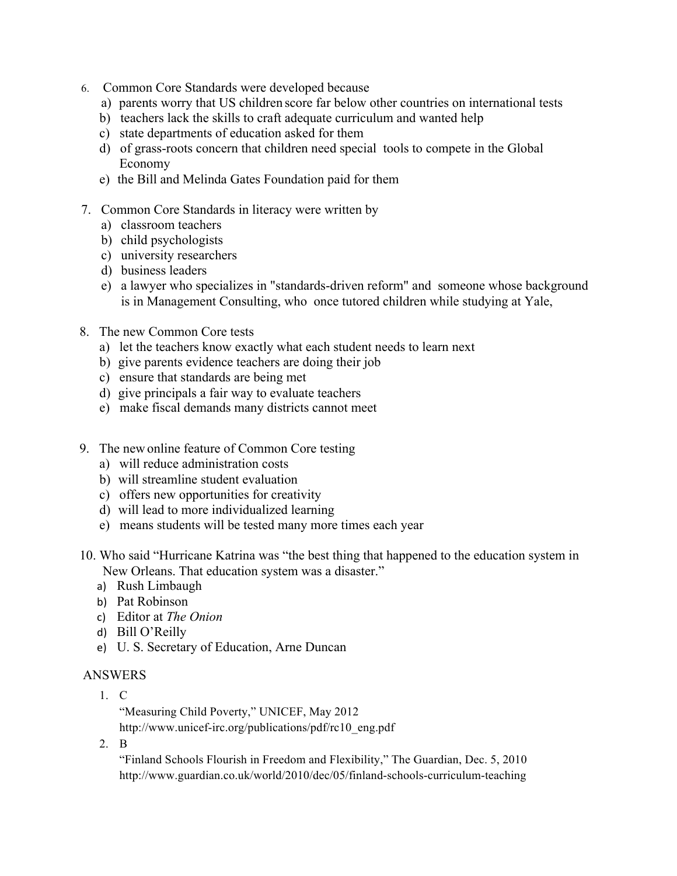- 6. Common Core Standards were developed because
	- a) parents worry that US children score far below other countries on international tests
	- b) teachers lack the skills to craft adequate curriculum and wanted help
	- c) state departments of education asked for them
	- d) of grass-roots concern that children need special tools to compete in the Global Economy
	- e) the Bill and Melinda Gates Foundation paid for them
- 7. Common Core Standards in literacy were written by
	- a) classroom teachers
	- b) child psychologists
	- c) university researchers
	- d) business leaders
	- e) a lawyer who specializes in "standards-driven reform" and someone whose background is in Management Consulting, who once tutored children while studying at Yale,
- 8. The new Common Core tests
	- a) let the teachers know exactly what each student needs to learn next
	- b) give parents evidence teachers are doing their job
	- c) ensure that standards are being met
	- d) give principals a fair way to evaluate teachers
	- e) make fiscal demands many districts cannot meet
- 9. The new online feature of Common Core testing
	- a) will reduce administration costs
	- b) will streamline student evaluation
	- c) offers new opportunities for creativity
	- d) will lead to more individualized learning
	- e) means students will be tested many more times each year
- 10. Who said "Hurricane Katrina was "the best thing that happened to the education system in New Orleans. That education system was a disaster."
	- a) Rush Limbaugh
	- b) Pat Robinson
	- c) Editor at *The Onion*
	- d) Bill O'Reilly
	- e) U. S. Secretary of Education, Arne Duncan

## ANSWERS

1. C

"Measuring Child Poverty," UNICEF, May 2012

http://www.unicef-irc.org/publications/pdf/rc10\_eng.pdf

2. B

"Finland Schools Flourish in Freedom and Flexibility," The Guardian, Dec. 5, 2010 http://www.guardian.co.uk/world/2010/dec/05/finland-schools-curriculum-teaching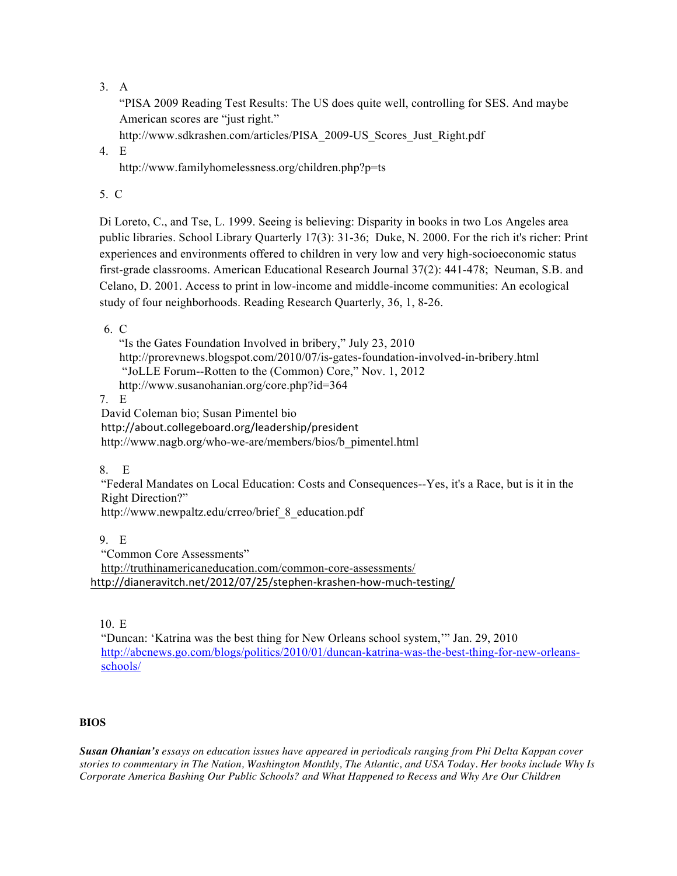3. A

"PISA 2009 Reading Test Results: The US does quite well, controlling for SES. And maybe American scores are "just right."

http://www.sdkrashen.com/articles/PISA\_2009-US\_Scores\_Just\_Right.pdf

4. E

http://www.familyhomelessness.org/children.php?p=ts

5. C

Di Loreto, C., and Tse, L. 1999. Seeing is believing: Disparity in books in two Los Angeles area public libraries. School Library Quarterly 17(3): 31-36; Duke, N. 2000. For the rich it's richer: Print experiences and environments offered to children in very low and very high-socioeconomic status first-grade classrooms. American Educational Research Journal 37(2): 441-478; Neuman, S.B. and Celano, D. 2001. Access to print in low-income and middle-income communities: An ecological study of four neighborhoods. Reading Research Quarterly, 36, 1, 8-26.

6. C

 "Is the Gates Foundation Involved in bribery," July 23, 2010 http://prorevnews.blogspot.com/2010/07/is-gates-foundation-involved-in-bribery.html "JoLLE Forum--Rotten to the (Common) Core," Nov. 1, 2012 http://www.susanohanian.org/core.php?id=364

7. E

David Coleman bio; Susan Pimentel bio

http://about.collegeboard.org/leadership/president

http://www.nagb.org/who-we-are/members/bios/b\_pimentel.html

8. E

"Federal Mandates on Local Education: Costs and Consequences--Yes, it's a Race, but is it in the Right Direction?"

http://www.newpaltz.edu/crreo/brief\_8\_education.pdf

9. E "Common Core Assessments" http://truthinamericaneducation.com/common-core-assessments/ http://dianeravitch.net/2012/07/25/stephen-krashen-how-much-testing/

10. E

"Duncan: 'Katrina was the best thing for New Orleans school system,'" Jan. 29, 2010 http://abcnews.go.com/blogs/politics/2010/01/duncan-katrina-was-the-best-thing-for-new-orleansschools/

## **BIOS**

*Susan Ohanian's essays on education issues have appeared in periodicals ranging from Phi Delta Kappan cover stories to commentary in The Nation, Washington Monthly, The Atlantic, and USA Today. Her books include Why Is Corporate America Bashing Our Public Schools? and What Happened to Recess and Why Are Our Children*